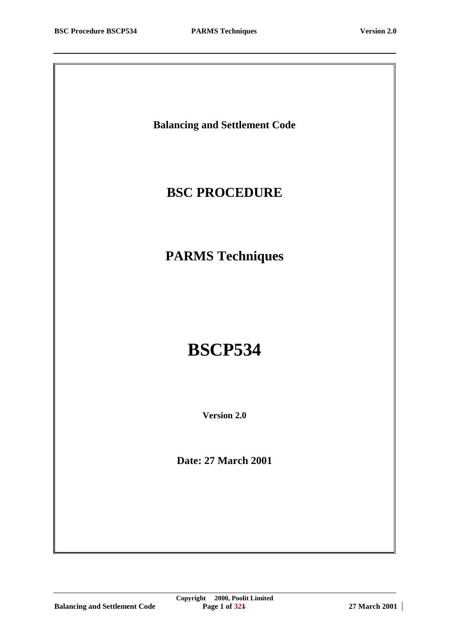**Balancing and Settlement Code**

# **BSC PROCEDURE**

**PARMS Techniques**

# **BSCP534**

**Version 2.0**

**Date: 27 March 2001**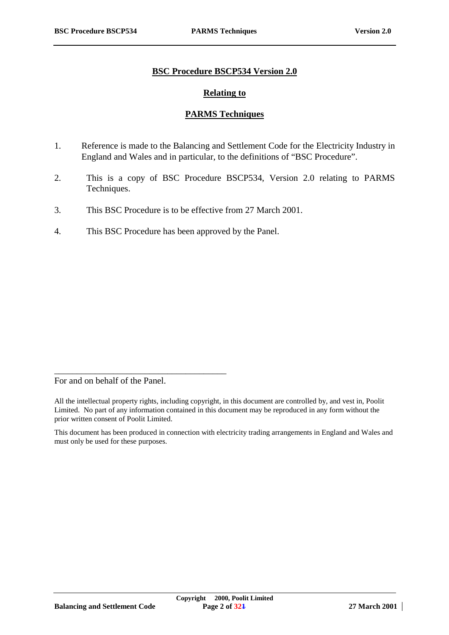#### **BSC Procedure BSCP534 Version 2.0**

#### **Relating to**

## **PARMS Techniques**

- 1. Reference is made to the Balancing and Settlement Code for the Electricity Industry in England and Wales and in particular, to the definitions of "BSC Procedure".
- 2. This is a copy of BSC Procedure BSCP534, Version 2.0 relating to PARMS Techniques.
- 3. This BSC Procedure is to be effective from 27 March 2001.
- 4. This BSC Procedure has been approved by the Panel.

For and on behalf of the Panel.

\_\_\_\_\_\_\_\_\_\_\_\_\_\_\_\_\_\_\_\_\_\_\_\_\_\_\_\_\_\_\_\_\_\_\_\_\_\_

All the intellectual property rights, including copyright, in this document are controlled by, and vest in, Poolit Limited. No part of any information contained in this document may be reproduced in any form without the prior written consent of Poolit Limited.

This document has been produced in connection with electricity trading arrangements in England and Wales and must only be used for these purposes.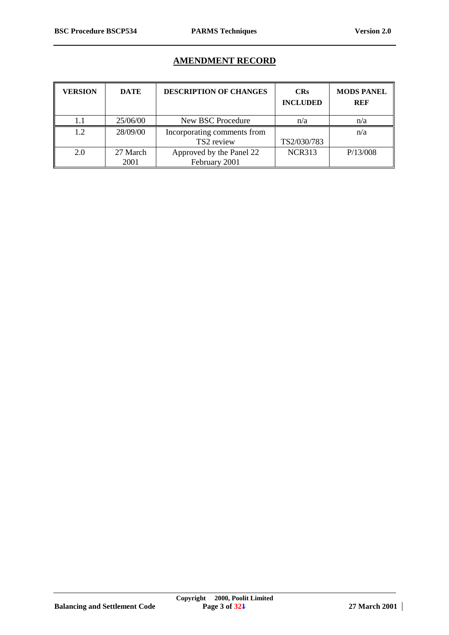#### **AMENDMENT RECORD**

| <b>VERSION</b> | <b>DATE</b> | <b>DESCRIPTION OF CHANGES</b> | <b>CRs</b><br><b>INCLUDED</b> | <b>MODS PANEL</b><br><b>REF</b> |
|----------------|-------------|-------------------------------|-------------------------------|---------------------------------|
|                | 25/06/00    | New BSC Procedure             | n/a                           | n/a                             |
| 1.2            | 28/09/00    | Incorporating comments from   |                               | n/a                             |
|                |             | TS2 review                    | TS2/030/783                   |                                 |
| 2.0            | 27 March    | Approved by the Panel 22      | <b>NCR313</b>                 | P/13/008                        |
|                | 2001        | February 2001                 |                               |                                 |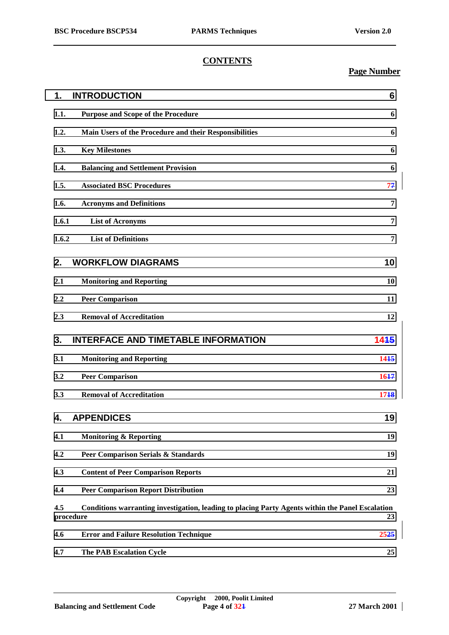# **CONTENTS**

# **Page Number**

| 1.    | <b>INTRODUCTION</b>                                                                                           | 6    |
|-------|---------------------------------------------------------------------------------------------------------------|------|
| 1.1.  | <b>Purpose and Scope of the Procedure</b>                                                                     | 6    |
| 1.2.  | Main Users of the Procedure and their Responsibilities                                                        | 6    |
| 1.3.  | <b>Key Milestones</b>                                                                                         | 6    |
| 1.4.  | <b>Balancing and Settlement Provision</b>                                                                     | 6    |
| 1.5.  | <b>Associated BSC Procedures</b>                                                                              | 77   |
| 1.6.  | <b>Acronyms and Definitions</b>                                                                               | 7    |
| 1.6.1 | <b>List of Acronyms</b>                                                                                       | 7    |
| 1.6.2 | <b>List of Definitions</b>                                                                                    | 7    |
| 2.    | <b>WORKFLOW DIAGRAMS</b>                                                                                      | 10   |
| 2.1   | <b>Monitoring and Reporting</b>                                                                               | 10   |
| 2.2   | <b>Peer Comparison</b>                                                                                        | 11   |
| 2.3   | <b>Removal of Accreditation</b>                                                                               | 12   |
| 3.    | <b>INTERFACE AND TIMETABLE INFORMATION</b>                                                                    | 1445 |
| 3.1   | <b>Monitoring and Reporting</b>                                                                               | 1415 |
| 3.2   | <b>Peer Comparison</b>                                                                                        | 1647 |
| 3.3   | <b>Removal of Accreditation</b>                                                                               | 1718 |
| 4.    | <b>APPENDICES</b>                                                                                             | 19   |
| 4.1   | <b>Monitoring &amp; Reporting</b>                                                                             | 19   |
| 4.2   | <b>Peer Comparison Serials &amp; Standards</b>                                                                | 19   |
| 4.3   | <b>Content of Peer Comparison Reports</b>                                                                     | 21   |
| 4.4   | <b>Peer Comparison Report Distribution</b>                                                                    | 23   |
| 4.5   | Conditions warranting investigation, leading to placing Party Agents within the Panel Escalation<br>procedure | 23   |
| 4.6   | <b>Error and Failure Resolution Technique</b>                                                                 | 2525 |
| 4.7   | <b>The PAB Escalation Cycle</b>                                                                               | 25   |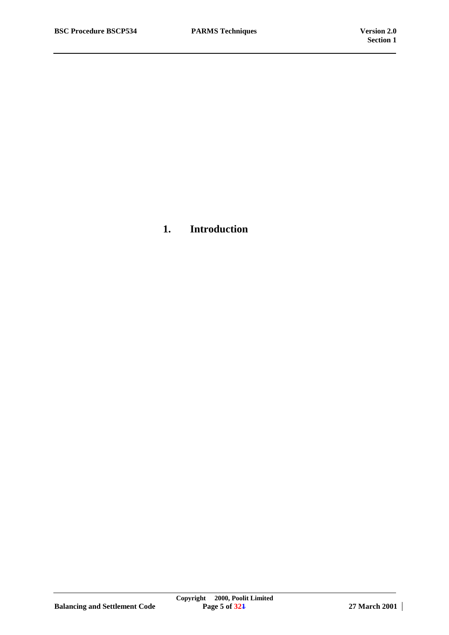**1. Introduction**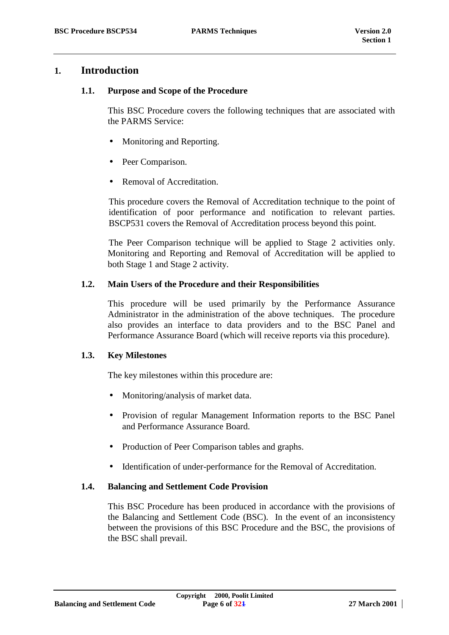# <span id="page-5-0"></span>**1. Introduction**

#### **1.1. Purpose and Scope of the Procedure**

This BSC Procedure covers the following techniques that are associated with the PARMS Service:

- Monitoring and Reporting.
- Peer Comparison.
- Removal of Accreditation.

This procedure covers the Removal of Accreditation technique to the point of identification of poor performance and notification to relevant parties. BSCP531 covers the Removal of Accreditation process beyond this point.

The Peer Comparison technique will be applied to Stage 2 activities only. Monitoring and Reporting and Removal of Accreditation will be applied to both Stage 1 and Stage 2 activity.

#### **1.2. Main Users of the Procedure and their Responsibilities**

This procedure will be used primarily by the Performance Assurance Administrator in the administration of the above techniques. The procedure also provides an interface to data providers and to the BSC Panel and Performance Assurance Board (which will receive reports via this procedure).

## **1.3. Key Milestones**

The key milestones within this procedure are:

- Monitoring/analysis of market data.
- Provision of regular Management Information reports to the BSC Panel and Performance Assurance Board.
- Production of Peer Comparison tables and graphs.
- Identification of under-performance for the Removal of Accreditation.

#### **1.4. Balancing and Settlement Code Provision**

This BSC Procedure has been produced in accordance with the provisions of the Balancing and Settlement Code (BSC). In the event of an inconsistency between the provisions of this BSC Procedure and the BSC, the provisions of the BSC shall prevail.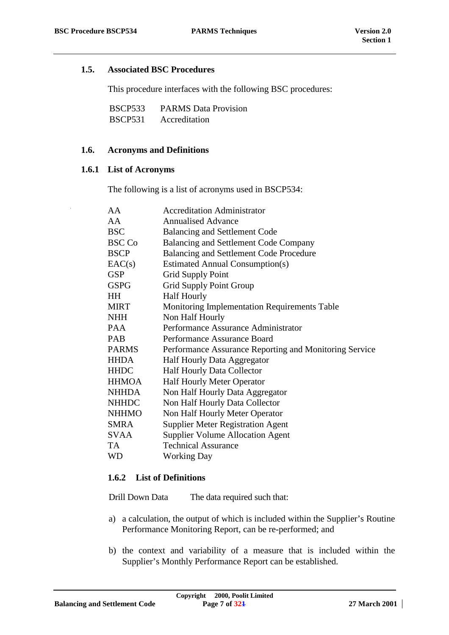#### <span id="page-6-0"></span>**1.5. Associated BSC Procedures**

This procedure interfaces with the following BSC procedures:

| BSCP533 | <b>PARMS</b> Data Provision |
|---------|-----------------------------|
| BSCP531 | Accreditation               |

#### **1.6. Acronyms and Definitions**

#### **1.6.1 List of Acronyms**

The following is a list of acronyms used in BSCP534:

| AA            | <b>Accreditation Administrator</b>                     |
|---------------|--------------------------------------------------------|
| AA            | <b>Annualised Advance</b>                              |
| <b>BSC</b>    | <b>Balancing and Settlement Code</b>                   |
| <b>BSC Co</b> | Balancing and Settlement Code Company                  |
| <b>BSCP</b>   | Balancing and Settlement Code Procedure                |
| EAC(s)        | <b>Estimated Annual Consumption(s)</b>                 |
| <b>GSP</b>    | Grid Supply Point                                      |
| <b>GSPG</b>   | <b>Grid Supply Point Group</b>                         |
| <b>HH</b>     | <b>Half Hourly</b>                                     |
| <b>MIRT</b>   | <b>Monitoring Implementation Requirements Table</b>    |
| NHH           | Non Half Hourly                                        |
| <b>PAA</b>    | Performance Assurance Administrator                    |
| <b>PAB</b>    | Performance Assurance Board                            |
| <b>PARMS</b>  | Performance Assurance Reporting and Monitoring Service |
| <b>HHDA</b>   | Half Hourly Data Aggregator                            |
| <b>HHDC</b>   | <b>Half Hourly Data Collector</b>                      |
| <b>HHMOA</b>  | <b>Half Hourly Meter Operator</b>                      |
| <b>NHHDA</b>  | Non Half Hourly Data Aggregator                        |
| <b>NHHDC</b>  | Non Half Hourly Data Collector                         |
| <b>NHHMO</b>  | Non Half Hourly Meter Operator                         |
| <b>SMRA</b>   | <b>Supplier Meter Registration Agent</b>               |
| <b>SVAA</b>   | <b>Supplier Volume Allocation Agent</b>                |
| TA            | <b>Technical Assurance</b>                             |
| <b>WD</b>     | <b>Working Day</b>                                     |

#### **1.6.2 List of Definitions**

Drill Down Data The data required such that:

- a) a calculation, the output of which is included within the Supplier's Routine Performance Monitoring Report, can be re-performed; and
- b) the context and variability of a measure that is included within the Supplier's Monthly Performance Report can be established.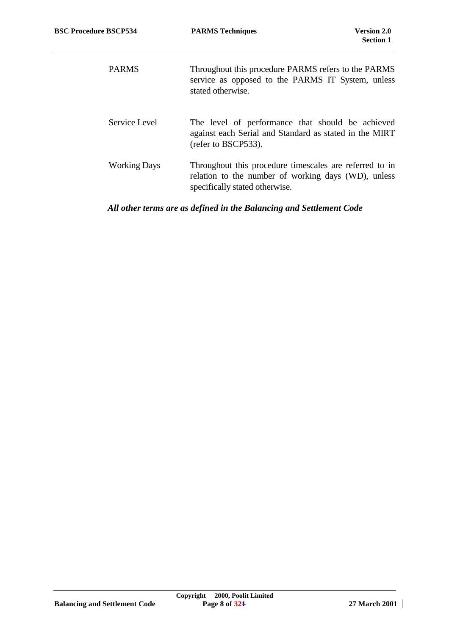| <b>PARMS</b>        | Throughout this procedure PARMS refers to the PARMS<br>service as opposed to the PARMS IT System, unless<br>stated otherwise.                    |
|---------------------|--------------------------------------------------------------------------------------------------------------------------------------------------|
| Service Level       | The level of performance that should be achieved<br>against each Serial and Standard as stated in the MIRT<br>(refer to BSCP533).                |
| <b>Working Days</b> | Throughout this procedure timescales are referred to in<br>relation to the number of working days (WD), unless<br>specifically stated otherwise. |

# *All other terms are as defined in the Balancing and Settlement Code*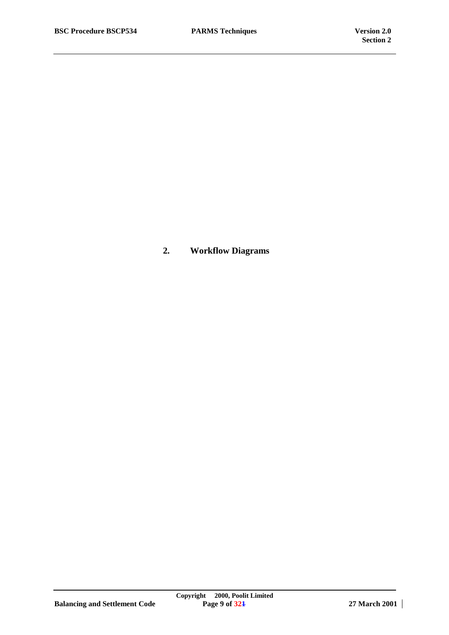**2. Workflow Diagrams**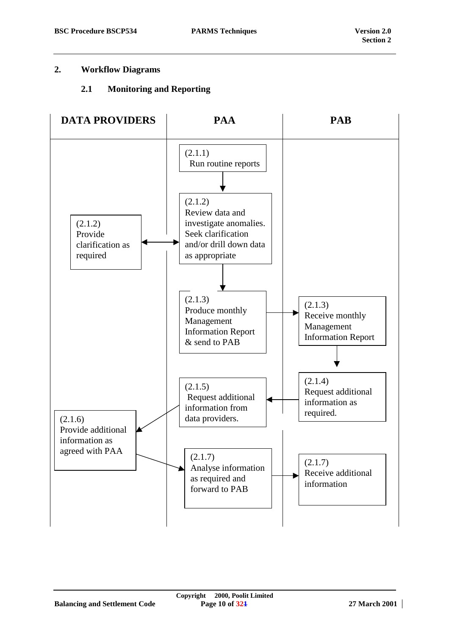#### <span id="page-9-0"></span>**2. Workflow Diagrams**

#### **2.1 Monitoring and Reporting**

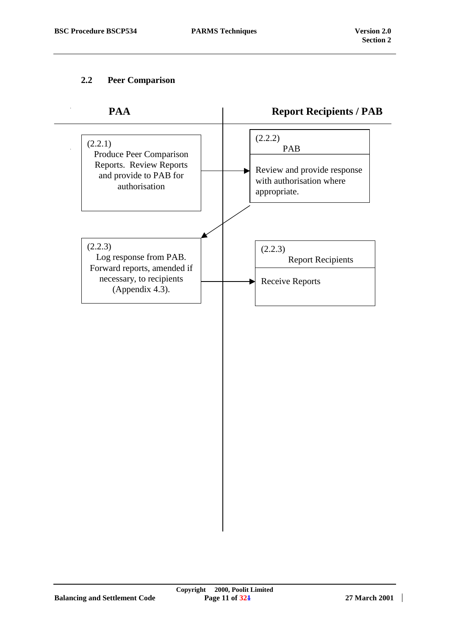# <span id="page-10-0"></span>**2.2 Peer Comparison**

| PAA                                                                                                             | <b>Report Recipients / PAB</b>                                                            |
|-----------------------------------------------------------------------------------------------------------------|-------------------------------------------------------------------------------------------|
| (2.2.1)<br>Produce Peer Comparison<br>Reports. Review Reports<br>and provide to PAB for<br>authorisation        | (2.2.2)<br>PAB<br>Review and provide response<br>with authorisation where<br>appropriate. |
| (2.2.3)<br>Log response from PAB.<br>Forward reports, amended if<br>necessary, to recipients<br>(Appendix 4.3). | (2.2.3)<br><b>Report Recipients</b><br><b>Receive Reports</b><br>H                        |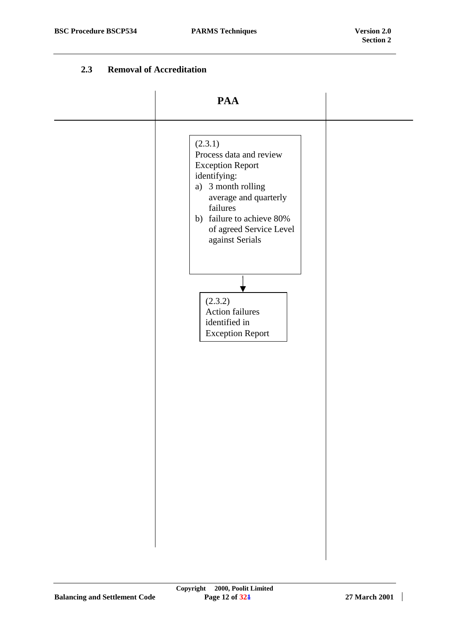#### **2.3 Removal of Accreditation**

<span id="page-11-0"></span>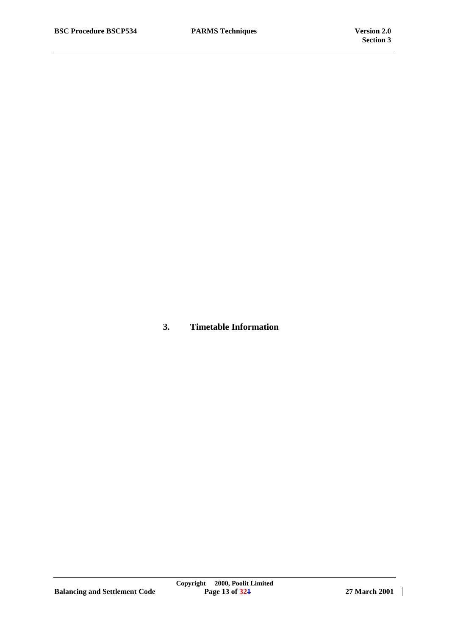**3. Timetable Information**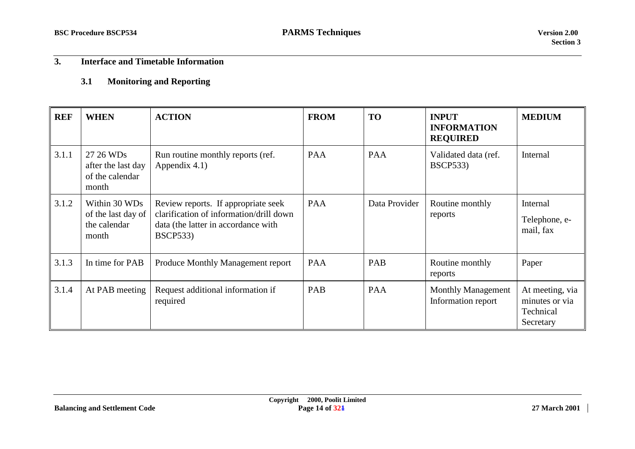# <span id="page-13-0"></span>**3. Interface and Timetable Information**

#### **3.1Monitoring and Reporting**

| <b>REF</b> | <b>WHEN</b>                                                  | <b>ACTION</b>                                                                                                                            | <b>FROM</b> | <b>TO</b>     | <b>INPUT</b><br><b>INFORMATION</b><br><b>REQUIRED</b> | <b>MEDIUM</b>                                               |
|------------|--------------------------------------------------------------|------------------------------------------------------------------------------------------------------------------------------------------|-------------|---------------|-------------------------------------------------------|-------------------------------------------------------------|
| 3.1.1      | 27 26 WDs<br>after the last day<br>of the calendar<br>month  | Run routine monthly reports (ref.<br>Appendix 4.1)                                                                                       | <b>PAA</b>  | <b>PAA</b>    | Validated data (ref.<br><b>BSCP533</b> )              | Internal                                                    |
| 3.1.2      | Within 30 WDs<br>of the last day of<br>the calendar<br>month | Review reports. If appropriate seek<br>clarification of information/drill down<br>data (the latter in accordance with<br><b>BSCP533)</b> | <b>PAA</b>  | Data Provider | Routine monthly<br>reports                            | Internal<br>Telephone, e-<br>mail, fax                      |
| 3.1.3      | In time for PAB                                              | Produce Monthly Management report                                                                                                        | <b>PAA</b>  | PAB           | Routine monthly<br>reports                            | Paper                                                       |
| 3.1.4      | At PAB meeting                                               | Request additional information if<br>required                                                                                            | PAB         | <b>PAA</b>    | <b>Monthly Management</b><br>Information report       | At meeting, via<br>minutes or via<br>Technical<br>Secretary |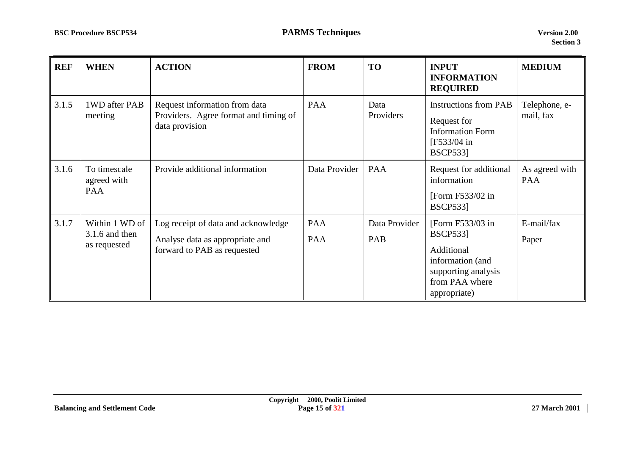| <b>REF</b> | <b>WHEN</b>                                        | <b>ACTION</b>                                                                                         | <b>FROM</b>       | <b>TO</b>            | <b>INPUT</b><br><b>INFORMATION</b><br><b>REQUIRED</b>                                                                          | <b>MEDIUM</b>              |
|------------|----------------------------------------------------|-------------------------------------------------------------------------------------------------------|-------------------|----------------------|--------------------------------------------------------------------------------------------------------------------------------|----------------------------|
| 3.1.5      | 1WD after PAB<br>meeting                           | Request information from data<br>Providers. Agree format and timing of<br>data provision              | PAA               | Data<br>Providers    | <b>Instructions from PAB</b><br>Request for<br><b>Information Form</b><br>[F533/04 in]<br><b>BSCP5331</b>                      | Telephone, e-<br>mail, fax |
| 3.1.6      | To timescale<br>agreed with<br>PAA                 | Provide additional information                                                                        | Data Provider     | PAA                  | Request for additional<br>information<br>[Form $F533/02$ in<br><b>BSCP533</b> ]                                                | As agreed with<br>PAA      |
| 3.1.7      | Within 1 WD of<br>$3.1.6$ and then<br>as requested | Log receipt of data and acknowledge<br>Analyse data as appropriate and<br>forward to PAB as requested | PAA<br><b>PAA</b> | Data Provider<br>PAB | [Form F533/03 in]<br><b>BSCP533</b><br>Additional<br>information (and<br>supporting analysis<br>from PAA where<br>appropriate) | E-mail/fax<br>Paper        |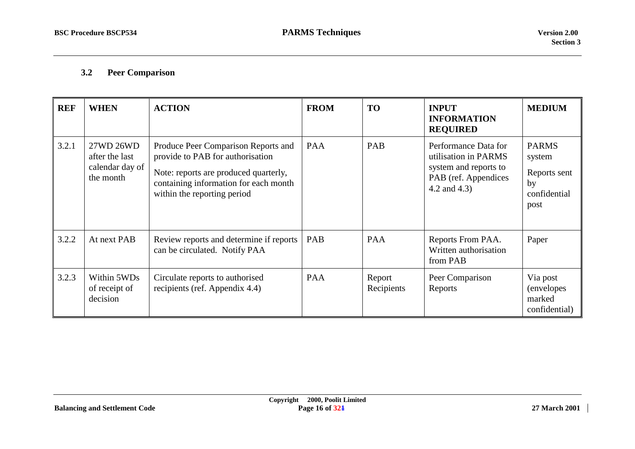#### <span id="page-15-0"></span>**3.2Peer Comparison**

| <b>REF</b> | <b>WHEN</b>                                                 | <b>ACTION</b>                                                                                                                                                                            | <b>FROM</b> | <b>TO</b>            | <b>INPUT</b><br><b>INFORMATION</b><br><b>REQUIRED</b>                                                         | <b>MEDIUM</b>                                                        |
|------------|-------------------------------------------------------------|------------------------------------------------------------------------------------------------------------------------------------------------------------------------------------------|-------------|----------------------|---------------------------------------------------------------------------------------------------------------|----------------------------------------------------------------------|
| 3.2.1      | 27WD 26WD<br>after the last<br>calendar day of<br>the month | Produce Peer Comparison Reports and<br>provide to PAB for authorisation<br>Note: reports are produced quarterly,<br>containing information for each month<br>within the reporting period | <b>PAA</b>  | PAB                  | Performance Data for<br>utilisation in PARMS<br>system and reports to<br>PAB (ref. Appendices<br>4.2 and 4.3) | <b>PARMS</b><br>system<br>Reports sent<br>by<br>confidential<br>post |
| 3.2.2      | At next PAB                                                 | Review reports and determine if reports<br>can be circulated. Notify PAA                                                                                                                 | <b>PAB</b>  | <b>PAA</b>           | Reports From PAA.<br>Written authorisation<br>from PAB                                                        | Paper                                                                |
| 3.2.3      | Within 5WDs<br>of receipt of<br>decision                    | Circulate reports to authorised<br>recipients (ref. Appendix 4.4)                                                                                                                        | <b>PAA</b>  | Report<br>Recipients | Peer Comparison<br>Reports                                                                                    | Via post<br>(envelopes<br>marked<br>confidential)                    |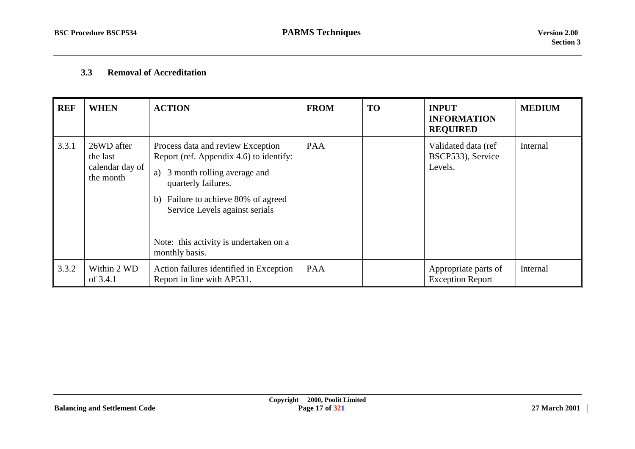#### <span id="page-16-0"></span>**3.3Removal of Accreditation**

| <b>REF</b> | <b>WHEN</b>                                            | <b>ACTION</b>                                                                                                                                                                                                                                                                 | <b>FROM</b> | <b>TO</b> | <b>INPUT</b><br><b>INFORMATION</b><br><b>REQUIRED</b> | <b>MEDIUM</b> |
|------------|--------------------------------------------------------|-------------------------------------------------------------------------------------------------------------------------------------------------------------------------------------------------------------------------------------------------------------------------------|-------------|-----------|-------------------------------------------------------|---------------|
| 3.3.1      | 26WD after<br>the last<br>calendar day of<br>the month | Process data and review Exception<br>Report (ref. Appendix 4.6) to identify:<br>3 month rolling average and<br>a)<br>quarterly failures.<br>b) Failure to achieve 80% of agreed<br>Service Levels against serials<br>Note: this activity is undertaken on a<br>monthly basis. | <b>PAA</b>  |           | Validated data (ref<br>BSCP533), Service<br>Levels.   | Internal      |
| 3.3.2      | Within 2 WD<br>of 3.4.1                                | Action failures identified in Exception<br>Report in line with AP531.                                                                                                                                                                                                         | <b>PAA</b>  |           | Appropriate parts of<br><b>Exception Report</b>       | Internal      |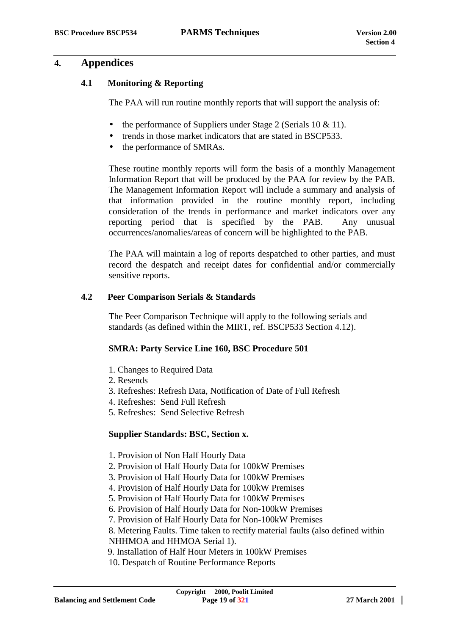# <span id="page-18-0"></span>**4. Appendices**

## **4.1 Monitoring & Reporting**

The PAA will run routine monthly reports that will support the analysis of:

- the performance of Suppliers under Stage 2 (Serials 10 & 11).
- trends in those market indicators that are stated in BSCP533.
- the performance of SMRAs.

These routine monthly reports will form the basis of a monthly Management Information Report that will be produced by the PAA for review by the PAB. The Management Information Report will include a summary and analysis of that information provided in the routine monthly report, including consideration of the trends in performance and market indicators over any reporting period that is specified by the PAB. Any unusual occurrences/anomalies/areas of concern will be highlighted to the PAB.

The PAA will maintain a log of reports despatched to other parties, and must record the despatch and receipt dates for confidential and/or commercially sensitive reports.

#### **4.2 Peer Comparison Serials & Standards**

The Peer Comparison Technique will apply to the following serials and standards (as defined within the MIRT, ref. BSCP533 Section 4.12).

#### **SMRA: Party Service Line 160, BSC Procedure 501**

- 1. Changes to Required Data
- 2. Resends
- 3. Refreshes: Refresh Data, Notification of Date of Full Refresh
- 4. Refreshes: Send Full Refresh
- 5. Refreshes: Send Selective Refresh

## **Supplier Standards: BSC, Section x.**

- 1. Provision of Non Half Hourly Data
- 2. Provision of Half Hourly Data for 100kW Premises
- 3. Provision of Half Hourly Data for 100kW Premises
- 4. Provision of Half Hourly Data for 100kW Premises
- 5. Provision of Half Hourly Data for 100kW Premises
- 6. Provision of Half Hourly Data for Non-100kW Premises
- 7. Provision of Half Hourly Data for Non-100kW Premises
- 8. Metering Faults. Time taken to rectify material faults (also defined within
- NHHMOA and HHMOA Serial 1).
- 9. Installation of Half Hour Meters in 100kW Premises
- 10. Despatch of Routine Performance Reports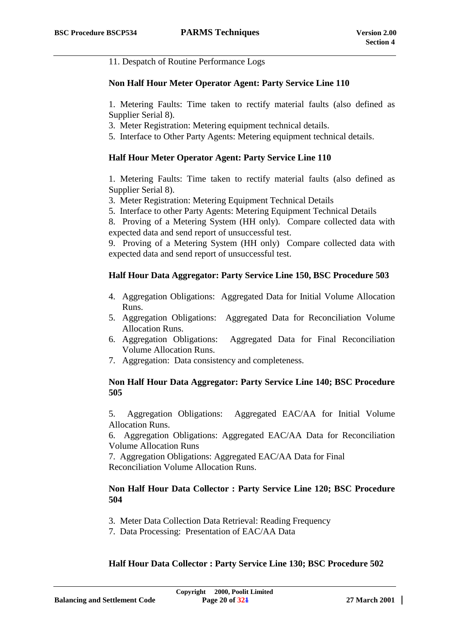11. Despatch of Routine Performance Logs

#### **Non Half Hour Meter Operator Agent: Party Service Line 110**

1. Metering Faults: Time taken to rectify material faults (also defined as Supplier Serial 8).

3. Meter Registration: Metering equipment technical details.

5. Interface to Other Party Agents: Metering equipment technical details.

#### **Half Hour Meter Operator Agent: Party Service Line 110**

1. Metering Faults: Time taken to rectify material faults (also defined as Supplier Serial 8).

3. Meter Registration: Metering Equipment Technical Details

5. Interface to other Party Agents: Metering Equipment Technical Details

8. Proving of a Metering System (HH only). Compare collected data with expected data and send report of unsuccessful test.

9. Proving of a Metering System (HH only) Compare collected data with expected data and send report of unsuccessful test.

#### **Half Hour Data Aggregator: Party Service Line 150, BSC Procedure 503**

- 4. Aggregation Obligations: Aggregated Data for Initial Volume Allocation Runs.
- 5. Aggregation Obligations: Aggregated Data for Reconciliation Volume Allocation Runs.
- 6. Aggregation Obligations: Aggregated Data for Final Reconciliation Volume Allocation Runs.
- 7. Aggregation: Data consistency and completeness.

#### **Non Half Hour Data Aggregator: Party Service Line 140; BSC Procedure 505**

5. Aggregation Obligations: Aggregated EAC/AA for Initial Volume Allocation Runs.

6. Aggregation Obligations: Aggregated EAC/AA Data for Reconciliation Volume Allocation Runs

7. Aggregation Obligations: Aggregated EAC/AA Data for Final Reconciliation Volume Allocation Runs.

#### **Non Half Hour Data Collector : Party Service Line 120; BSC Procedure 504**

- 3. Meter Data Collection Data Retrieval: Reading Frequency
- 7. Data Processing: Presentation of EAC/AA Data

#### **Half Hour Data Collector : Party Service Line 130; BSC Procedure 502**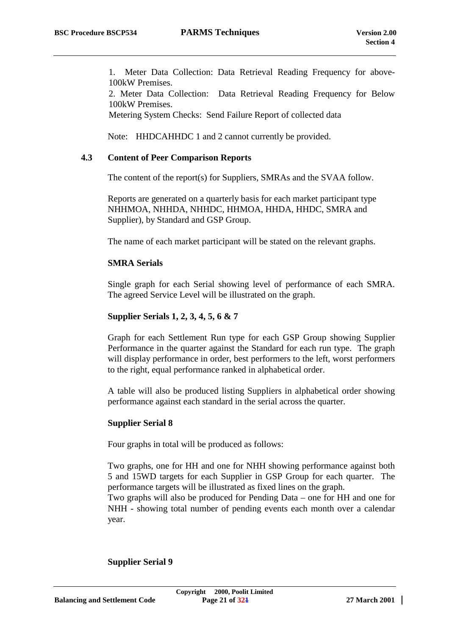<span id="page-20-0"></span>1. Meter Data Collection: Data Retrieval Reading Frequency for above-100kW Premises.

2. Meter Data Collection: Data Retrieval Reading Frequency for Below 100kW Premises.

Metering System Checks: Send Failure Report of collected data

Note: HHDCAHHDC 1 and 2 cannot currently be provided.

#### **4.3 Content of Peer Comparison Reports**

The content of the report(s) for Suppliers, SMRAs and the SVAA follow.

Reports are generated on a quarterly basis for each market participant type NHHMOA, NHHDA, NHHDC, HHMOA, HHDA, HHDC, SMRA and Supplier), by Standard and GSP Group.

The name of each market participant will be stated on the relevant graphs.

#### **SMRA Serials**

Single graph for each Serial showing level of performance of each SMRA. The agreed Service Level will be illustrated on the graph.

#### **Supplier Serials 1, 2, 3, 4, 5, 6 & 7**

Graph for each Settlement Run type for each GSP Group showing Supplier Performance in the quarter against the Standard for each run type. The graph will display performance in order, best performers to the left, worst performers to the right, equal performance ranked in alphabetical order.

A table will also be produced listing Suppliers in alphabetical order showing performance against each standard in the serial across the quarter.

#### **Supplier Serial 8**

Four graphs in total will be produced as follows:

Two graphs, one for HH and one for NHH showing performance against both 5 and 15WD targets for each Supplier in GSP Group for each quarter. The performance targets will be illustrated as fixed lines on the graph.

Two graphs will also be produced for Pending Data – one for HH and one for NHH - showing total number of pending events each month over a calendar year.

**Supplier Serial 9**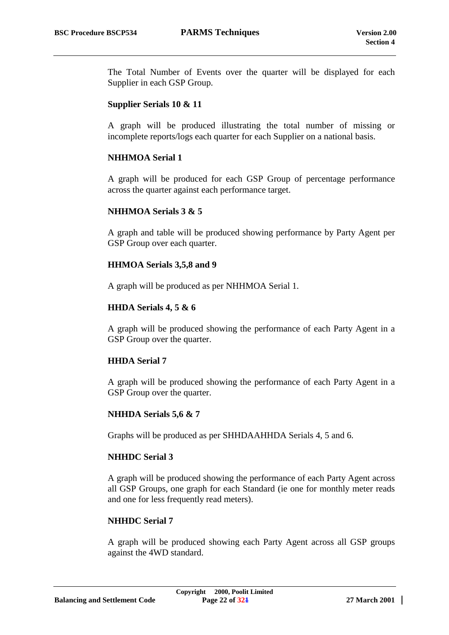The Total Number of Events over the quarter will be displayed for each Supplier in each GSP Group.

#### **Supplier Serials 10 & 11**

A graph will be produced illustrating the total number of missing or incomplete reports/logs each quarter for each Supplier on a national basis.

#### **NHHMOA Serial 1**

A graph will be produced for each GSP Group of percentage performance across the quarter against each performance target.

#### **NHHMOA Serials 3 & 5**

A graph and table will be produced showing performance by Party Agent per GSP Group over each quarter.

#### **HHMOA Serials 3,5,8 and 9**

A graph will be produced as per NHHMOA Serial 1.

#### **HHDA Serials 4, 5 & 6**

A graph will be produced showing the performance of each Party Agent in a GSP Group over the quarter.

#### **HHDA Serial 7**

A graph will be produced showing the performance of each Party Agent in a GSP Group over the quarter.

## **NHHDA Serials 5,6 & 7**

Graphs will be produced as per SHHDAAHHDA Serials 4, 5 and 6.

#### **NHHDC Serial 3**

A graph will be produced showing the performance of each Party Agent across all GSP Groups, one graph for each Standard (ie one for monthly meter reads and one for less frequently read meters).

#### **NHHDC Serial 7**

A graph will be produced showing each Party Agent across all GSP groups against the 4WD standard.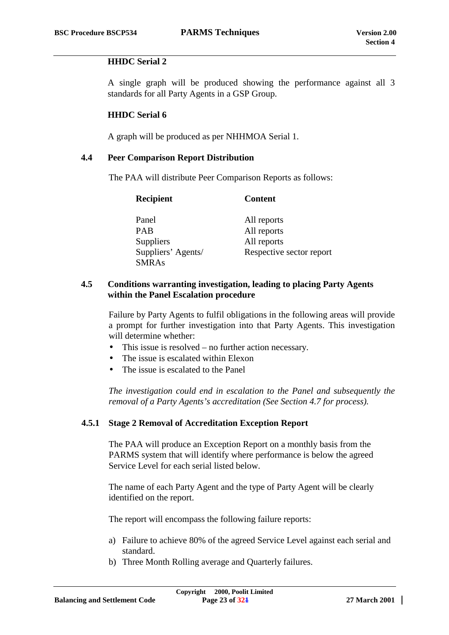#### <span id="page-22-0"></span>**HHDC Serial 2**

A single graph will be produced showing the performance against all 3 standards for all Party Agents in a GSP Group.

#### **HHDC Serial 6**

A graph will be produced as per NHHMOA Serial 1.

#### **4.4 Peer Comparison Report Distribution**

The PAA will distribute Peer Comparison Reports as follows:

| <b>Recipient</b>   | <b>Content</b>           |
|--------------------|--------------------------|
| Panel              | All reports              |
| <b>PAB</b>         | All reports              |
| Suppliers          | All reports              |
| Suppliers' Agents/ | Respective sector report |
| <b>SMRAs</b>       |                          |

#### **4.5 Conditions warranting investigation, leading to placing Party Agents within the Panel Escalation procedure**

Failure by Party Agents to fulfil obligations in the following areas will provide a prompt for further investigation into that Party Agents. This investigation will determine whether:

- This issue is resolved no further action necessary.
- The issue is escalated within Elexon
- The issue is escalated to the Panel

*The investigation could end in escalation to the Panel and subsequently the removal of a Party Agents's accreditation (See Section 4.7 for process).*

#### **4.5.1 Stage 2 Removal of Accreditation Exception Report**

The PAA will produce an Exception Report on a monthly basis from the PARMS system that will identify where performance is below the agreed Service Level for each serial listed below.

The name of each Party Agent and the type of Party Agent will be clearly identified on the report.

The report will encompass the following failure reports:

- a) Failure to achieve 80% of the agreed Service Level against each serial and standard.
- b) Three Month Rolling average and Quarterly failures.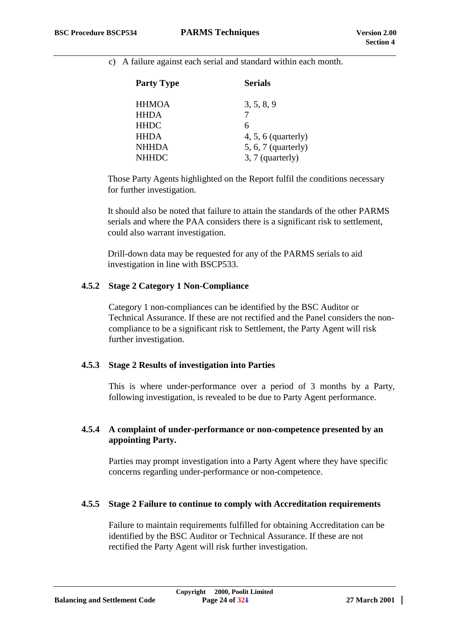c) A failure against each serial and standard within each month.

| <b>Party Type</b> | <b>Serials</b>        |
|-------------------|-----------------------|
| <b>HHMOA</b>      | 3, 5, 8, 9            |
| <b>HHDA</b>       | 7                     |
| HHDC              | 6                     |
| HHDA              | $4, 5, 6$ (quarterly) |
| NHHDA             | $5, 6, 7$ (quarterly) |
| NHHDC             | 3, 7 (quarterly)      |
|                   |                       |

Those Party Agents highlighted on the Report fulfil the conditions necessary for further investigation.

It should also be noted that failure to attain the standards of the other PARMS serials and where the PAA considers there is a significant risk to settlement, could also warrant investigation.

Drill-down data may be requested for any of the PARMS serials to aid investigation in line with BSCP533.

#### **4.5.2 Stage 2 Category 1 Non-Compliance**

Category 1 non-compliances can be identified by the BSC Auditor or Technical Assurance. If these are not rectified and the Panel considers the noncompliance to be a significant risk to Settlement, the Party Agent will risk further investigation.

#### **4.5.3 Stage 2 Results of investigation into Parties**

This is where under-performance over a period of 3 months by a Party, following investigation, is revealed to be due to Party Agent performance.

#### **4.5.4 A complaint of under-performance or non-competence presented by an appointing Party.**

Parties may prompt investigation into a Party Agent where they have specific concerns regarding under-performance or non-competence.

#### **4.5.5 Stage 2 Failure to continue to comply with Accreditation requirements**

Failure to maintain requirements fulfilled for obtaining Accreditation can be identified by the BSC Auditor or Technical Assurance. If these are not rectified the Party Agent will risk further investigation.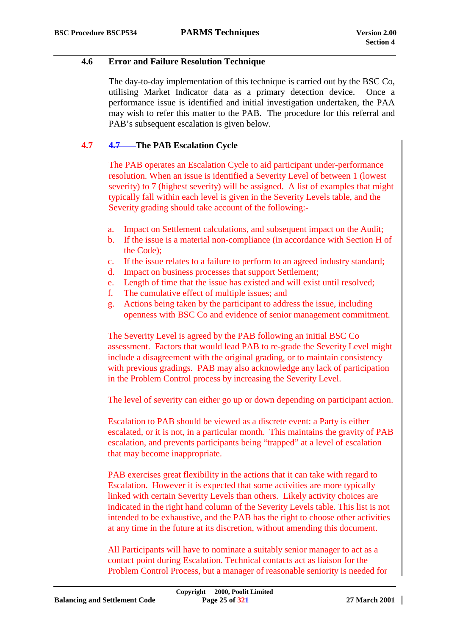#### <span id="page-24-0"></span>**4.6 Error and Failure Resolution Technique**

The day-to-day implementation of this technique is carried out by the BSC Co, utilising Market Indicator data as a primary detection device. Once a performance issue is identified and initial investigation undertaken, the PAA may wish to refer this matter to the PAB. The procedure for this referral and PAB's subsequent escalation is given below.

# **4.7 4.7 The PAB Escalation Cycle**

The PAB operates an Escalation Cycle to aid participant under-performance resolution. When an issue is identified a Severity Level of between 1 (lowest severity) to 7 (highest severity) will be assigned. A list of examples that might typically fall within each level is given in the Severity Levels table, and the Severity grading should take account of the following:-

- a. Impact on Settlement calculations, and subsequent impact on the Audit;
- b. If the issue is a material non-compliance (in accordance with Section H of the Code);
- c. If the issue relates to a failure to perform to an agreed industry standard;
- d. Impact on business processes that support Settlement;
- e. Length of time that the issue has existed and will exist until resolved;
- f. The cumulative effect of multiple issues; and
- g. Actions being taken by the participant to address the issue, including openness with BSC Co and evidence of senior management commitment.

The Severity Level is agreed by the PAB following an initial BSC Co assessment. Factors that would lead PAB to re-grade the Severity Level might include a disagreement with the original grading, or to maintain consistency with previous gradings. PAB may also acknowledge any lack of participation in the Problem Control process by increasing the Severity Level.

The level of severity can either go up or down depending on participant action.

Escalation to PAB should be viewed as a discrete event: a Party is either escalated, or it is not, in a particular month. This maintains the gravity of PAB escalation, and prevents participants being "trapped" at a level of escalation that may become inappropriate.

PAB exercises great flexibility in the actions that it can take with regard to Escalation. However it is expected that some activities are more typically linked with certain Severity Levels than others. Likely activity choices are indicated in the right hand column of the Severity Levels table. This list is not intended to be exhaustive, and the PAB has the right to choose other activities at any time in the future at its discretion, without amending this document.

All Participants will have to nominate a suitably senior manager to act as a contact point during Escalation. Technical contacts act as liaison for the Problem Control Process, but a manager of reasonable seniority is needed for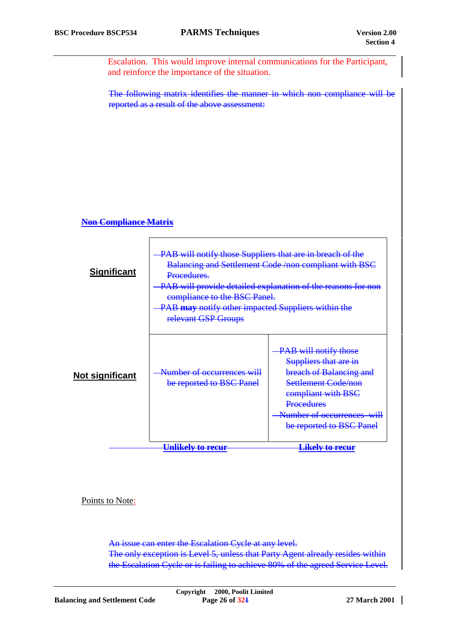Escalation. This would improve internal communications for the Participant, and reinforce the importance of the situation.

The following matrix identifies the manner in which non compliance will be reported as a result of the above assessment:

#### **Non Compliance Matrix**

| <b>Significant</b> | PAB will notify those Suppliers that are in breach of the<br>Balancing and Settlement Code /non compliant with BSC<br>Procedures.<br>PAB will provide detailed explanation of the reasons for non<br>compliance to the BSC Panel.<br>PAB may notify other impacted Suppliers within the<br>relevant GSP Groups |                                                                                                                                                                                                               |  |  |  |  |
|--------------------|----------------------------------------------------------------------------------------------------------------------------------------------------------------------------------------------------------------------------------------------------------------------------------------------------------------|---------------------------------------------------------------------------------------------------------------------------------------------------------------------------------------------------------------|--|--|--|--|
| Not significant    | Number of occurrences will<br>be reported to BSC Panel                                                                                                                                                                                                                                                         | -PAB will notify those<br>Suppliers that are in<br><b>breach of Balancing and</b><br>Settlement Code/non<br>compliant with BSC<br><b>Procedures</b><br>Number of occurrences will<br>be reported to BSC Panel |  |  |  |  |
|                    | <u>Unlikely to recur</u>                                                                                                                                                                                                                                                                                       | <u>Likely to recur</u>                                                                                                                                                                                        |  |  |  |  |

Points to Note:

An issue can enter the Escalation Cycle at any level. The only exception is Level 5, unless that Party Agent already resides within the Escalation Cycle or is failing to achieve 80% of the agreed Service Level.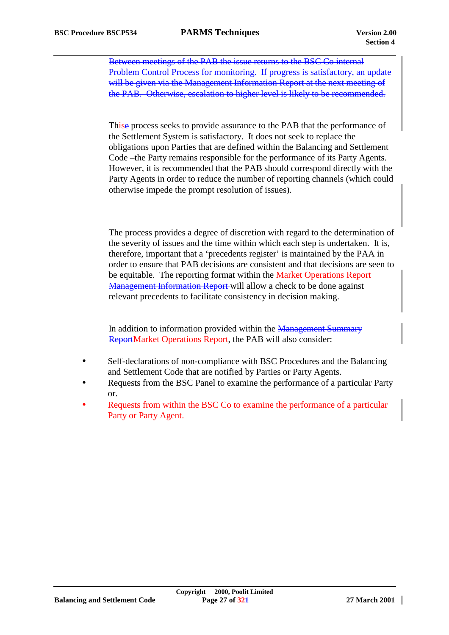Between meetings of the PAB the issue returns to the BSC Co internal Problem Control Process for monitoring. If progress is satisfactory, an update will be given via the Management Information Report at the next meeting of the PAB. Otherwise, escalation to higher level is likely to be recommended.

Thise process seeks to provide assurance to the PAB that the performance of the Settlement System is satisfactory. It does not seek to replace the obligations upon Parties that are defined within the Balancing and Settlement Code –the Party remains responsible for the performance of its Party Agents. However, it is recommended that the PAB should correspond directly with the Party Agents in order to reduce the number of reporting channels (which could otherwise impede the prompt resolution of issues).

The process provides a degree of discretion with regard to the determination of the severity of issues and the time within which each step is undertaken. It is, therefore, important that a 'precedents register' is maintained by the PAA in order to ensure that PAB decisions are consistent and that decisions are seen to be equitable. The reporting format within the Market Operations Report Management Information Report will allow a check to be done against relevant precedents to facilitate consistency in decision making.

In addition to information provided within the Management Summary ReportMarket Operations Report, the PAB will also consider:

- Self-declarations of non-compliance with BSC Procedures and the Balancing and Settlement Code that are notified by Parties or Party Agents.
- Requests from the BSC Panel to examine the performance of a particular Party or.
- Requests from within the BSC Co to examine the performance of a particular Party or Party Agent.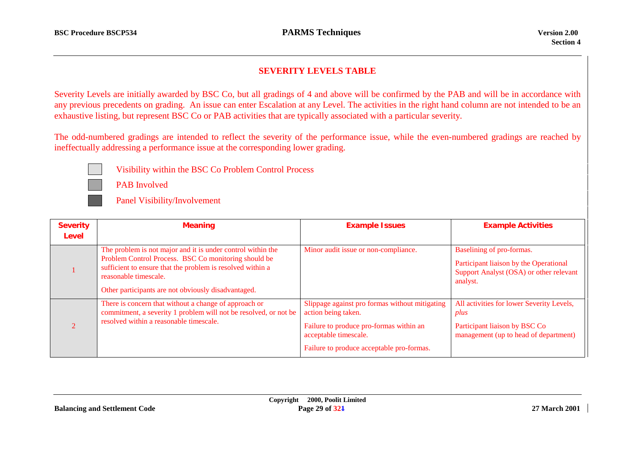#### **SEVERITY LEVELS TABLE**

Severity Levels are initially awarded by BSC Co, but all gradings of 4 and above will be confirmed by the PAB and will be in accordance with any previous precedents on grading. An issue can enter Escalation at any Level. The activities in the right hand column are not intended to be an exhaustive listing, but represent BSC Co or PAB activities that are typically associated with a particular severity.

The odd-numbered gradings are intended to reflect the severity of the performance issue, while the even-numbered gradings are reached by ineffectually addressing a performance issue at the corresponding lower grading.



Visibility within the BSC Co Problem Control Process

PAB Involved

Panel Visibility/Involvement

| <b>Severity</b><br>Level | <b>Meaning</b>                                                                                                                                                                                                                                                    | <b>Example Issues</b>                                                                                                                                                                  | <b>Example Activities</b>                                                                                                   |
|--------------------------|-------------------------------------------------------------------------------------------------------------------------------------------------------------------------------------------------------------------------------------------------------------------|----------------------------------------------------------------------------------------------------------------------------------------------------------------------------------------|-----------------------------------------------------------------------------------------------------------------------------|
|                          | The problem is not major and it is under control within the<br>Problem Control Process. BSC Co monitoring should be<br>sufficient to ensure that the problem is resolved within a<br>reasonable timescale.<br>Other participants are not obviously disadvantaged. | Minor audit issue or non-compliance.                                                                                                                                                   | Baselining of pro-formas.<br>Participant liaison by the Operational<br>Support Analyst (OSA) or other relevant<br>analyst.  |
|                          | There is concern that without a change of approach or<br>commitment, a severity 1 problem will not be resolved, or not be<br>resolved within a reasonable timescale.                                                                                              | Slippage against pro formas without mitigating<br>action being taken.<br>Failure to produce pro-formas within an<br>acceptable timescale.<br>Failure to produce acceptable pro-formas. | All activities for lower Severity Levels,<br>plus<br>Participant liaison by BSC Co<br>management (up to head of department) |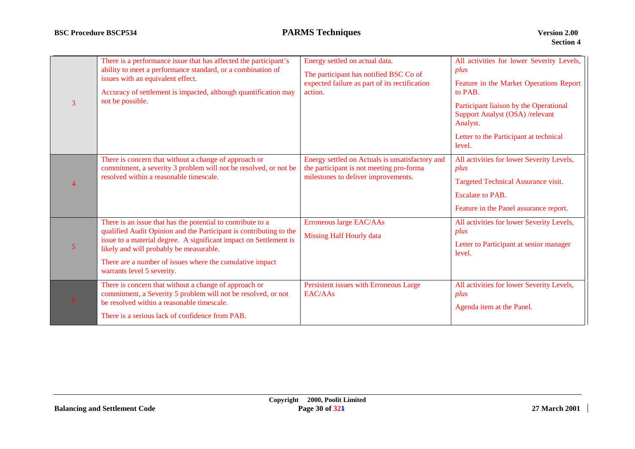| 3              | There is a performance issue that has affected the participant's<br>ability to meet a performance standard, or a combination of<br>issues with an equivalent effect.<br>Accuracy of settlement is impacted, although quantification may<br>not be possible.                                                                                 | Energy settled on actual data.<br>The participant has notified BSC Co of<br>expected failure as part of its rectification<br>action. | All activities for lower Severity Levels,<br>plus<br>Feature in the Market Operations Report<br>to PAB.<br>Participant liaison by the Operational<br>Support Analyst (OSA) /relevant<br>Analyst.<br>Letter to the Participant at technical<br>level. |
|----------------|---------------------------------------------------------------------------------------------------------------------------------------------------------------------------------------------------------------------------------------------------------------------------------------------------------------------------------------------|--------------------------------------------------------------------------------------------------------------------------------------|------------------------------------------------------------------------------------------------------------------------------------------------------------------------------------------------------------------------------------------------------|
| $\overline{4}$ | There is concern that without a change of approach or<br>commitment, a severity 3 problem will not be resolved, or not be<br>resolved within a reasonable timescale.                                                                                                                                                                        | Energy settled on Actuals is unsatisfactory and<br>the participant is not meeting pro-forma<br>milestones to deliver improvements.   | All activities for lower Severity Levels,<br>plus<br>Targeted Technical Assurance visit.<br><b>Escalate to PAB.</b><br>Feature in the Panel assurance report.                                                                                        |
| $\overline{5}$ | There is an issue that has the potential to contribute to a<br>qualified Audit Opinion and the Participant is contributing to the<br>issue to a material degree. A significant impact on Settlement is<br>likely and will probably be measurable.<br>There are a number of issues where the cumulative impact<br>warrants level 5 severity. | Erroneous large EAC/AAs<br><b>Missing Half Hourly data</b>                                                                           | All activities for lower Severity Levels,<br>plus<br>Letter to Participant at senior manager<br>level.                                                                                                                                               |
| 6 <sup>1</sup> | There is concern that without a change of approach or<br>commitment, a Severity 5 problem will not be resolved, or not<br>be resolved within a reasonable timescale.<br>There is a serious lack of confidence from PAB.                                                                                                                     | Persistent issues with Erroneous Large<br>EAC/AAs                                                                                    | All activities for lower Severity Levels,<br>plus<br>Agenda item at the Panel.                                                                                                                                                                       |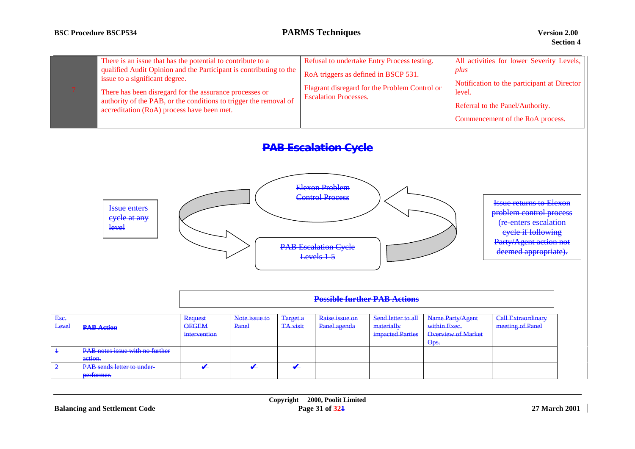| There is an issue that has the potential to contribute to a<br>qualified Audit Opinion and the Participant is contributing to the<br>issue to a significant degree.<br>There has been disregard for the assurance processes or<br>authority of the PAB, or the conditions to trigger the removal of<br>accreditation (RoA) process have been met. | Refusal to undertake Entry Process testing.<br>RoA triggers as defined in BSCP 531.<br>Flagrant disregard for the Problem Control or<br><b>Escalation Processes.</b> | All activities for lower Severity Levels,  <br>plus<br>Notification to the participant at Director<br>level.<br>Referral to the Panel/Authority.<br>Commencement of the RoA process. |
|---------------------------------------------------------------------------------------------------------------------------------------------------------------------------------------------------------------------------------------------------------------------------------------------------------------------------------------------------|----------------------------------------------------------------------------------------------------------------------------------------------------------------------|--------------------------------------------------------------------------------------------------------------------------------------------------------------------------------------|
|---------------------------------------------------------------------------------------------------------------------------------------------------------------------------------------------------------------------------------------------------------------------------------------------------------------------------------------------------|----------------------------------------------------------------------------------------------------------------------------------------------------------------------|--------------------------------------------------------------------------------------------------------------------------------------------------------------------------------------|

# **PAB Escalation Cycle**



|                |                                                                                               | <b>Possible further PAB Actions</b>     |                        |                             |                                |                                                             |                                                                |                                               |
|----------------|-----------------------------------------------------------------------------------------------|-----------------------------------------|------------------------|-----------------------------|--------------------------------|-------------------------------------------------------------|----------------------------------------------------------------|-----------------------------------------------|
| Esc.<br>Level  | <b>PAB Action</b>                                                                             | Request<br><b>OFGEM</b><br>intervention | Note issue to<br>Panel | Target a<br><b>TA</b> visit | Raise issue on<br>Panel agenda | Send letter to all<br>materially<br><i>impacted Parties</i> | Name Party/Agent<br>within Exec.<br>Overview of Market<br>Ops. | <b>Call Extraordinary</b><br>meeting of Panel |
| $\overline{2}$ | PAB notes issue with no further<br>action.<br><b>PAB</b> sends letter to under-<br>performer. |                                         |                        |                             |                                |                                                             |                                                                |                                               |